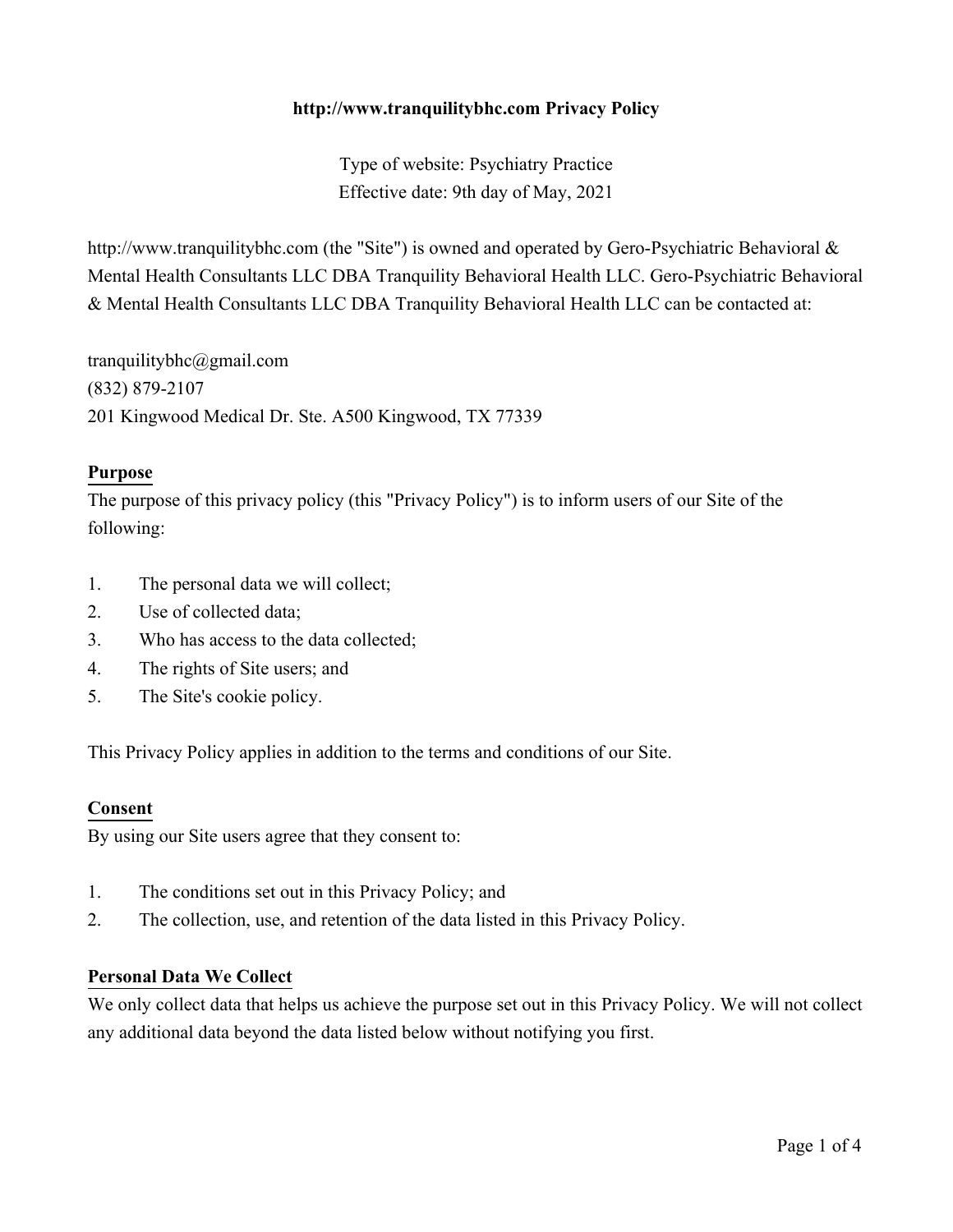## **http://www.tranquilitybhc.com Privacy Policy**

Type of website: Psychiatry Practice Effective date: 9th day of May, 2021

http://www.tranquilitybhc.com (the "Site") is owned and operated by Gero-Psychiatric Behavioral & Mental Health Consultants LLC DBA Tranquility Behavioral Health LLC. Gero-Psychiatric Behavioral & Mental Health Consultants LLC DBA Tranquility Behavioral Health LLC can be contacted at:

tranquilitybhc@gmail.com (832) 879-2107 201 Kingwood Medical Dr. Ste. A500 Kingwood, TX 77339

#### **Purpose**

The purpose of this privacy policy (this "Privacy Policy") is to inform users of our Site of the following:

- 1. The personal data we will collect;
- 2. Use of collected data;
- 3. Who has access to the data collected;
- 4. The rights of Site users; and
- 5. The Site's cookie policy.

This Privacy Policy applies in addition to the terms and conditions of our Site.

#### **Consent**

By using our Site users agree that they consent to:

- 1. The conditions set out in this Privacy Policy; and
- 2. The collection, use, and retention of the data listed in this Privacy Policy.

#### **Personal Data We Collect**

We only collect data that helps us achieve the purpose set out in this Privacy Policy. We will not collect any additional data beyond the data listed below without notifying you first.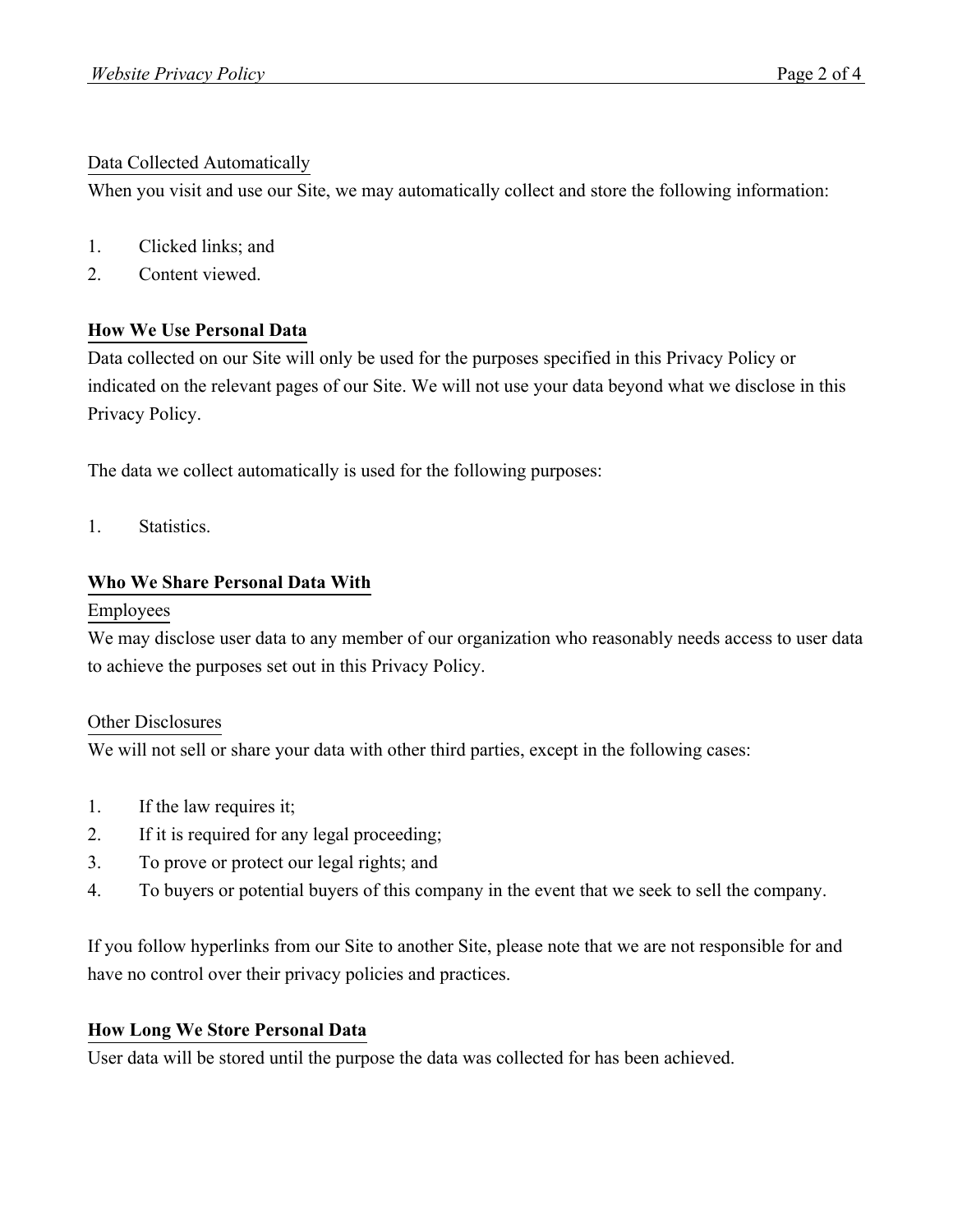## Data Collected Automatically

When you visit and use our Site, we may automatically collect and store the following information:

- 1. Clicked links; and
- 2. Content viewed.

# **How We Use Personal Data**

Data collected on our Site will only be used for the purposes specified in this Privacy Policy or indicated on the relevant pages of our Site. We will not use your data beyond what we disclose in this Privacy Policy.

The data we collect automatically is used for the following purposes:

1. Statistics.

# **Who We Share Personal Data With**

## Employees

We may disclose user data to any member of our organization who reasonably needs access to user data to achieve the purposes set out in this Privacy Policy.

## Other Disclosures

We will not sell or share your data with other third parties, except in the following cases:

- 1. If the law requires it;
- 2. If it is required for any legal proceeding;
- 3. To prove or protect our legal rights; and
- 4. To buyers or potential buyers of this company in the event that we seek to sell the company.

If you follow hyperlinks from our Site to another Site, please note that we are not responsible for and have no control over their privacy policies and practices.

## **How Long We Store Personal Data**

User data will be stored until the purpose the data was collected for has been achieved.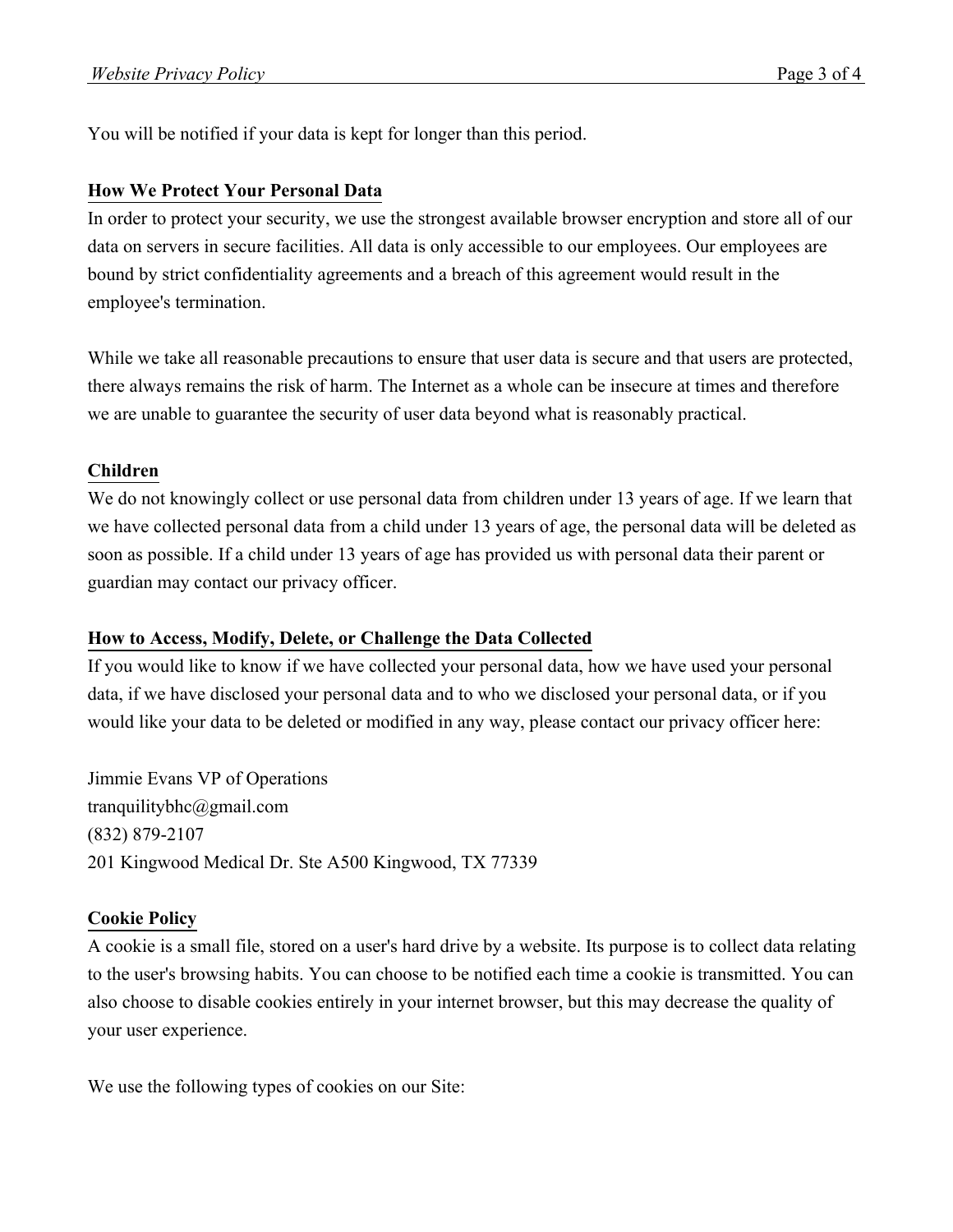You will be notified if your data is kept for longer than this period.

#### **How We Protect Your Personal Data**

In order to protect your security, we use the strongest available browser encryption and store all of our data on servers in secure facilities. All data is only accessible to our employees. Our employees are bound by strict confidentiality agreements and a breach of this agreement would result in the employee's termination.

While we take all reasonable precautions to ensure that user data is secure and that users are protected, there always remains the risk of harm. The Internet as a whole can be insecure at times and therefore we are unable to guarantee the security of user data beyond what is reasonably practical.

## **Children**

We do not knowingly collect or use personal data from children under 13 years of age. If we learn that we have collected personal data from a child under 13 years of age, the personal data will be deleted as soon as possible. If a child under 13 years of age has provided us with personal data their parent or guardian may contact our privacy officer.

## **How to Access, Modify, Delete, or Challenge the Data Collected**

If you would like to know if we have collected your personal data, how we have used your personal data, if we have disclosed your personal data and to who we disclosed your personal data, or if you would like your data to be deleted or modified in any way, please contact our privacy officer here:

Jimmie Evans VP of Operations tranquilitybhc@gmail.com (832) 879-2107 201 Kingwood Medical Dr. Ste A500 Kingwood, TX 77339

## **Cookie Policy**

A cookie is a small file, stored on a user's hard drive by a website. Its purpose is to collect data relating to the user's browsing habits. You can choose to be notified each time a cookie is transmitted. You can also choose to disable cookies entirely in your internet browser, but this may decrease the quality of your user experience.

We use the following types of cookies on our Site: